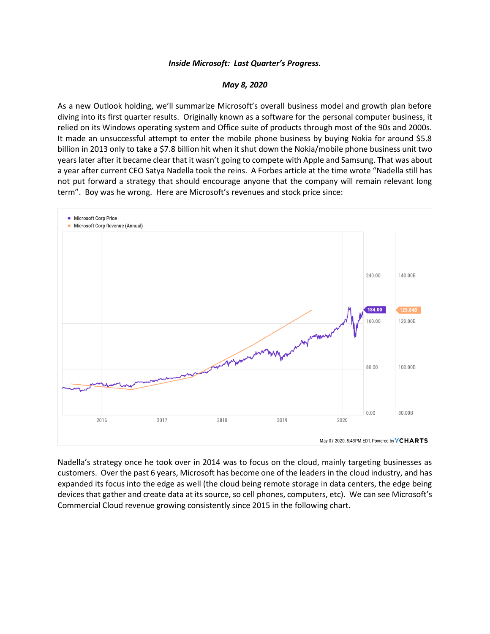## *Inside Microsoft: Last Quarter's Progress.*

## *May 8, 2020*

As a new Outlook holding, we'll summarize Microsoft's overall business model and growth plan before diving into its first quarter results. Originally known as a software for the personal computer business, it relied on its Windows operating system and Office suite of products through most of the 90s and 2000s. It made an unsuccessful attempt to enter the mobile phone business by buying Nokia for around \$5.8 billion in 2013 only to take a \$7.8 billion hit when it shut down the Nokia/mobile phone business unit two years later after it became clear that it wasn't going to compete with Apple and Samsung. That was about a year after current CEO Satya Nadella took the reins. A Forbes article at the time wrote "Nadella still has not put forward a strategy that should encourage anyone that the company will remain relevant long term". Boy was he wrong. Here are Microsoft's revenues and stock price since:



Nadella's strategy once he took over in 2014 was to focus on the cloud, mainly targeting businesses as customers. Over the past 6 years, Microsoft has become one of the leaders in the cloud industry, and has expanded its focus into the edge as well (the cloud being remote storage in data centers, the edge being devices that gather and create data at its source, so cell phones, computers, etc). We can see Microsoft's Commercial Cloud revenue growing consistently since 2015 in the following chart.